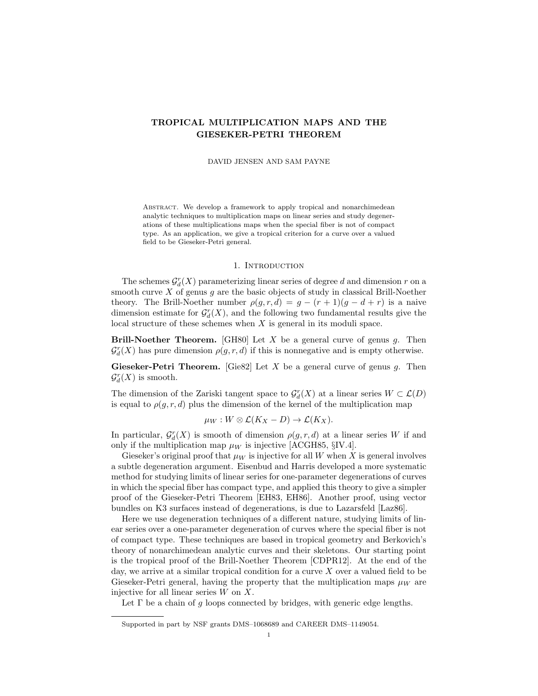# TROPICAL MULTIPLICATION MAPS AND THE GIESEKER-PETRI THEOREM

DAVID JENSEN AND SAM PAYNE

ABSTRACT. We develop a framework to apply tropical and nonarchimedean analytic techniques to multiplication maps on linear series and study degenerations of these multiplications maps when the special fiber is not of compact type. As an application, we give a tropical criterion for a curve over a valued field to be Gieseker-Petri general.

### 1. INTRODUCTION

The schemes  $\mathcal{G}^r_d(X)$  parameterizing linear series of degree  $d$  and dimension  $r$  on a smooth curve  $X$  of genus  $g$  are the basic objects of study in classical Brill-Noether theory. The Brill-Noether number  $\rho(g, r, d) = g - (r + 1)(g - d + r)$  is a naive dimension estimate for  $\mathcal{G}_d^r(X)$ , and the following two fundamental results give the local structure of these schemes when  $X$  is general in its moduli space.

**Brill-Noether Theorem.** [GH80] Let X be a general curve of genus g. Then  $\mathcal{G}_{d}^{r}(X)$  has pure dimension  $\rho(g,r,d)$  if this is nonnegative and is empty otherwise.

**Gieseker-Petri Theorem.** [Gie82] Let  $X$  be a general curve of genus  $g$ . Then  $\mathcal{G}^r_d(X)$  is smooth.

The dimension of the Zariski tangent space to  $\mathcal{G}_d^r(X)$  at a linear series  $W \subset \mathcal{L}(D)$ is equal to  $\rho(q, r, d)$  plus the dimension of the kernel of the multiplication map

$$
\mu_W: W \otimes \mathcal{L}(K_X - D) \to \mathcal{L}(K_X).
$$

In particular,  $\mathcal{G}_d^r(X)$  is smooth of dimension  $\rho(g,r,d)$  at a linear series W if and only if the multiplication map  $\mu_W$  is injective [ACGH85, §IV.4].

Gieseker's original proof that  $\mu_W$  is injective for all W when X is general involves a subtle degeneration argument. Eisenbud and Harris developed a more systematic method for studying limits of linear series for one-parameter degenerations of curves in which the special fiber has compact type, and applied this theory to give a simpler proof of the Gieseker-Petri Theorem [EH83, EH86]. Another proof, using vector bundles on K3 surfaces instead of degenerations, is due to Lazarsfeld [Laz86].

Here we use degeneration techniques of a different nature, studying limits of linear series over a one-parameter degeneration of curves where the special fiber is not of compact type. These techniques are based in tropical geometry and Berkovich's theory of nonarchimedean analytic curves and their skeletons. Our starting point is the tropical proof of the Brill-Noether Theorem [CDPR12]. At the end of the day, we arrive at a similar tropical condition for a curve  $X$  over a valued field to be Gieseker-Petri general, having the property that the multiplication maps  $\mu_W$  are injective for all linear series  $W$  on  $X$ .

Let  $\Gamma$  be a chain of g loops connected by bridges, with generic edge lengths.

Supported in part by NSF grants DMS–1068689 and CAREER DMS–1149054.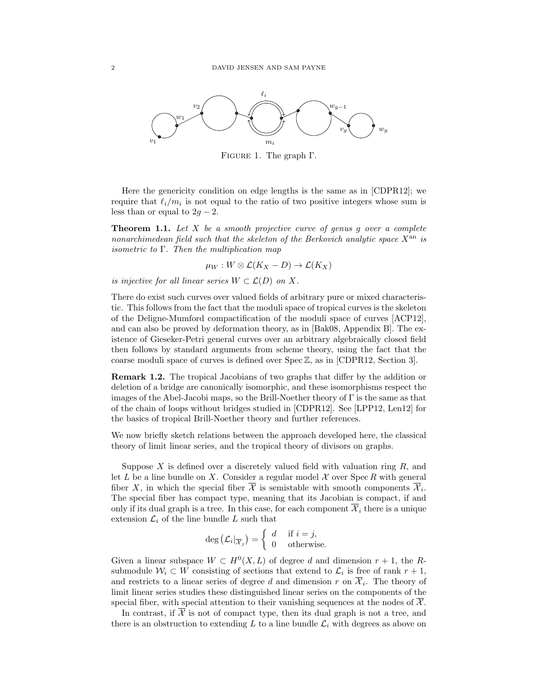

Figure 1. The graph Γ.

Here the genericity condition on edge lengths is the same as in [CDPR12]; we require that  $\ell_i/m_i$  is not equal to the ratio of two positive integers whose sum is less than or equal to  $2g - 2$ .

**Theorem 1.1.** Let  $X$  be a smooth projective curve of genus q over a complete nonarchimedean field such that the skeleton of the Berkovich analytic space  $X^{\text{an}}$  is *isometric to*  $\Gamma$ . Then the multiplication map

 $\mu_W : W \otimes \mathcal{L}(K_X - D) \to \mathcal{L}(K_X)$ 

is injective for all linear series  $W \subset \mathcal{L}(D)$  on X.

There do exist such curves over valued fields of arbitrary pure or mixed characteristic. This follows from the fact that the moduli space of tropical curves is the skeleton of the Deligne-Mumford compactification of the moduli space of curves [ACP12], and can also be proved by deformation theory, as in [Bak08, Appendix B]. The existence of Gieseker-Petri general curves over an arbitrary algebraically closed field then follows by standard arguments from scheme theory, using the fact that the coarse moduli space of curves is defined over Spec Z, as in [CDPR12, Section 3].

Remark 1.2. The tropical Jacobians of two graphs that differ by the addition or deletion of a bridge are canonically isomorphic, and these isomorphisms respect the images of the Abel-Jacobi maps, so the Brill-Noether theory of Γ is the same as that of the chain of loops without bridges studied in [CDPR12]. See [LPP12, Len12] for the basics of tropical Brill-Noether theory and further references.

We now briefly sketch relations between the approach developed here, the classical theory of limit linear series, and the tropical theory of divisors on graphs.

Suppose  $X$  is defined over a discretely valued field with valuation ring  $R$ , and let  $L$  be a line bundle on  $X$ . Consider a regular model  $X$  over Spec R with general fiber X, in which the special fiber  $\mathcal X$  is semistable with smooth components  $\mathcal X_i$ . The special fiber has compact type, meaning that its Jacobian is compact, if and only if its dual graph is a tree. In this case, for each component  $\overline{\mathcal{X}}_i$  there is a unique extension  $\mathcal{L}_i$  of the line bundle L such that

$$
\deg\left(\mathcal{L}_i\vert_{\overline{\mathcal{X}}_j}\right) = \left\{\begin{array}{ll} d & \text{if } i = j, \\ 0 & \text{otherwise.} \end{array}\right.
$$

Given a linear subspace  $W \subset H^0(X, L)$  of degree d and dimension  $r + 1$ , the Rsubmodule  $W_i \subset W$  consisting of sections that extend to  $\mathcal{L}_i$  is free of rank  $r + 1$ , and restricts to a linear series of degree d and dimension r on  $\mathcal{X}_i$ . The theory of limit linear series studies these distinguished linear series on the components of the special fiber, with special attention to their vanishing sequences at the nodes of  $\mathcal{X}$ .

In contrast, if  $\overline{\mathcal{X}}$  is not of compact type, then its dual graph is not a tree, and there is an obstruction to extending  $L$  to a line bundle  $\mathcal{L}_i$  with degrees as above on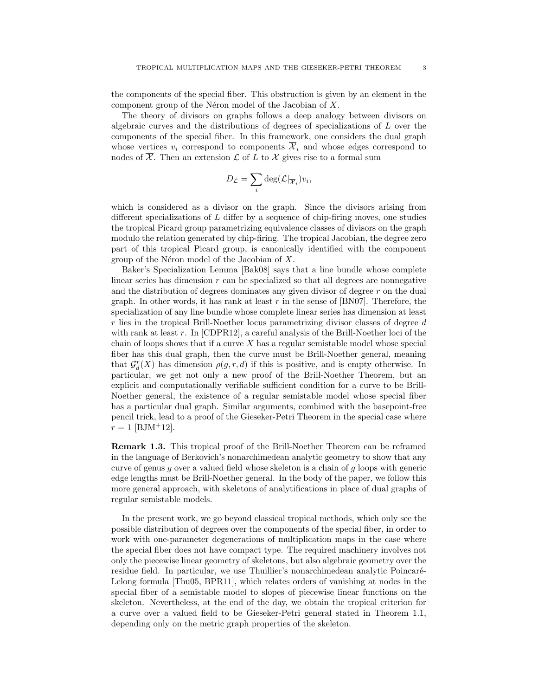the components of the special fiber. This obstruction is given by an element in the component group of the Néron model of the Jacobian of  $X$ .

The theory of divisors on graphs follows a deep analogy between divisors on algebraic curves and the distributions of degrees of specializations of L over the components of the special fiber. In this framework, one considers the dual graph whose vertices  $v_i$  correspond to components  $\overline{\mathcal{X}}_i$  and whose edges correspond to nodes of  $\overline{\mathcal{X}}$ . Then an extension  $\mathcal{L}$  of  $L$  to  $\mathcal{X}$  gives rise to a formal sum

$$
D_{\mathcal{L}} = \sum_i \text{deg}(\mathcal{L}|_{\overline{\mathcal{X}}_i}) v_i,
$$

which is considered as a divisor on the graph. Since the divisors arising from different specializations of L differ by a sequence of chip-firing moves, one studies the tropical Picard group parametrizing equivalence classes of divisors on the graph modulo the relation generated by chip-firing. The tropical Jacobian, the degree zero part of this tropical Picard group, is canonically identified with the component group of the Néron model of the Jacobian of  $X$ .

Baker's Specialization Lemma [Bak08] says that a line bundle whose complete linear series has dimension r can be specialized so that all degrees are nonnegative and the distribution of degrees dominates any given divisor of degree  $r$  on the dual graph. In other words, it has rank at least  $r$  in the sense of [BN07]. Therefore, the specialization of any line bundle whose complete linear series has dimension at least  $r$  lies in the tropical Brill-Noether locus parametrizing divisor classes of degree  $d$ with rank at least  $r$ . In [CDPR12], a careful analysis of the Brill-Noether loci of the chain of loops shows that if a curve  $X$  has a regular semistable model whose special fiber has this dual graph, then the curve must be Brill-Noether general, meaning that  $\mathcal{G}_d^r(X)$  has dimension  $\rho(g,r,d)$  if this is positive, and is empty otherwise. In particular, we get not only a new proof of the Brill-Noether Theorem, but an explicit and computationally verifiable sufficient condition for a curve to be Brill-Noether general, the existence of a regular semistable model whose special fiber has a particular dual graph. Similar arguments, combined with the basepoint-free pencil trick, lead to a proof of the Gieseker-Petri Theorem in the special case where  $r = 1$  [BJM<sup>+</sup>12].

Remark 1.3. This tropical proof of the Brill-Noether Theorem can be reframed in the language of Berkovich's nonarchimedean analytic geometry to show that any curve of genus  $g$  over a valued field whose skeleton is a chain of  $g$  loops with generic edge lengths must be Brill-Noether general. In the body of the paper, we follow this more general approach, with skeletons of analytifications in place of dual graphs of regular semistable models.

In the present work, we go beyond classical tropical methods, which only see the possible distribution of degrees over the components of the special fiber, in order to work with one-parameter degenerations of multiplication maps in the case where the special fiber does not have compact type. The required machinery involves not only the piecewise linear geometry of skeletons, but also algebraic geometry over the residue field. In particular, we use Thuillier's nonarchimedean analytic Poincaré-Lelong formula [Thu05, BPR11], which relates orders of vanishing at nodes in the special fiber of a semistable model to slopes of piecewise linear functions on the skeleton. Nevertheless, at the end of the day, we obtain the tropical criterion for a curve over a valued field to be Gieseker-Petri general stated in Theorem 1.1, depending only on the metric graph properties of the skeleton.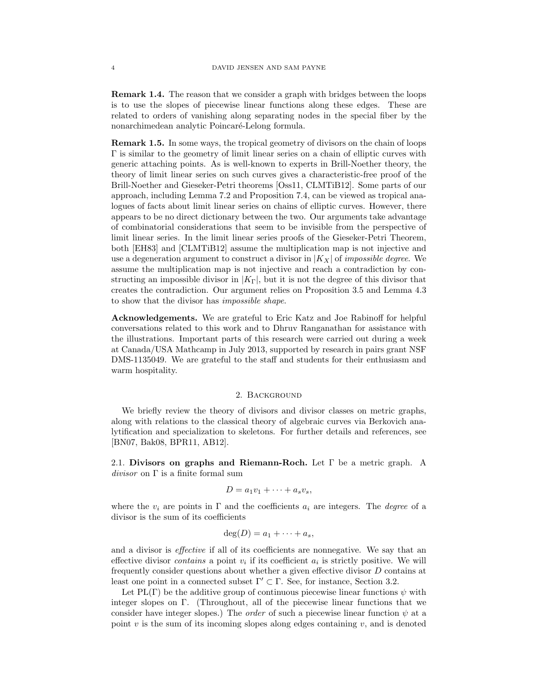Remark 1.4. The reason that we consider a graph with bridges between the loops is to use the slopes of piecewise linear functions along these edges. These are related to orders of vanishing along separating nodes in the special fiber by the nonarchimedean analytic Poincaré-Lelong formula.

Remark 1.5. In some ways, the tropical geometry of divisors on the chain of loops Γ is similar to the geometry of limit linear series on a chain of elliptic curves with generic attaching points. As is well-known to experts in Brill-Noether theory, the theory of limit linear series on such curves gives a characteristic-free proof of the Brill-Noether and Gieseker-Petri theorems [Oss11, CLMTiB12]. Some parts of our approach, including Lemma 7.2 and Proposition 7.4, can be viewed as tropical analogues of facts about limit linear series on chains of elliptic curves. However, there appears to be no direct dictionary between the two. Our arguments take advantage of combinatorial considerations that seem to be invisible from the perspective of limit linear series. In the limit linear series proofs of the Gieseker-Petri Theorem, both [EH83] and [CLMTiB12] assume the multiplication map is not injective and use a degeneration argument to construct a divisor in  $|K_X|$  of *impossible degree*. We assume the multiplication map is not injective and reach a contradiction by constructing an impossible divisor in  $|K_{\Gamma}|$ , but it is not the degree of this divisor that creates the contradiction. Our argument relies on Proposition 3.5 and Lemma 4.3 to show that the divisor has impossible shape.

Acknowledgements. We are grateful to Eric Katz and Joe Rabinoff for helpful conversations related to this work and to Dhruv Ranganathan for assistance with the illustrations. Important parts of this research were carried out during a week at Canada/USA Mathcamp in July 2013, supported by research in pairs grant NSF DMS-1135049. We are grateful to the staff and students for their enthusiasm and warm hospitality.

#### 2. Background

We briefly review the theory of divisors and divisor classes on metric graphs, along with relations to the classical theory of algebraic curves via Berkovich analytification and specialization to skeletons. For further details and references, see [BN07, Bak08, BPR11, AB12].

2.1. Divisors on graphs and Riemann-Roch. Let Γ be a metric graph. A  $divisor$  on  $\Gamma$  is a finite formal sum

$$
D = a_1v_1 + \cdots + a_sv_s,
$$

where the  $v_i$  are points in  $\Gamma$  and the coefficients  $a_i$  are integers. The *degree* of a divisor is the sum of its coefficients

$$
\deg(D) = a_1 + \cdots + a_s,
$$

and a divisor is effective if all of its coefficients are nonnegative. We say that an effective divisor *contains* a point  $v_i$  if its coefficient  $a_i$  is strictly positive. We will frequently consider questions about whether a given effective divisor D contains at least one point in a connected subset  $\Gamma' \subset \Gamma$ . See, for instance, Section 3.2.

Let PL(Γ) be the additive group of continuous piecewise linear functions  $\psi$  with integer slopes on Γ. (Throughout, all of the piecewise linear functions that we consider have integer slopes.) The *order* of such a piecewise linear function  $\psi$  at a point v is the sum of its incoming slopes along edges containing  $v$ , and is denoted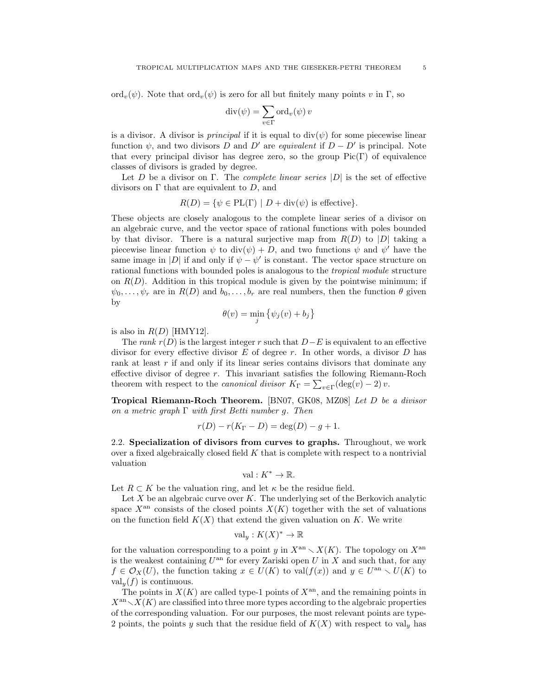ord<sub>v</sub>( $\psi$ ). Note that ord<sub>v</sub>( $\psi$ ) is zero for all but finitely many points v in Γ, so

$$
\operatorname{div}(\psi) = \sum_{v \in \Gamma} \operatorname{ord}_v(\psi) v
$$

is a divisor. A divisor is *principal* if it is equal to  $div(\psi)$  for some piecewise linear function  $\psi$ , and two divisors D and D' are *equivalent* if  $D - D'$  is principal. Note that every principal divisor has degree zero, so the group  $Pic(\Gamma)$  of equivalence classes of divisors is graded by degree.

Let D be a divisor on Γ. The *complete linear series*  $|D|$  is the set of effective divisors on  $\Gamma$  that are equivalent to  $D$ , and

$$
R(D) = \{ \psi \in PL(\Gamma) \mid D + \text{div}(\psi) \text{ is effective} \}.
$$

These objects are closely analogous to the complete linear series of a divisor on an algebraic curve, and the vector space of rational functions with poles bounded by that divisor. There is a natural surjective map from  $R(D)$  to  $|D|$  taking a piecewise linear function  $\psi$  to  $\text{div}(\psi) + D$ , and two functions  $\psi$  and  $\psi'$  have the same image in |D| if and only if  $\psi - \psi'$  is constant. The vector space structure on rational functions with bounded poles is analogous to the tropical module structure on  $R(D)$ . Addition in this tropical module is given by the pointwise minimum; if  $\psi_0, \ldots, \psi_r$  are in  $R(D)$  and  $b_0, \ldots, b_r$  are real numbers, then the function  $\theta$  given by

$$
\theta(v) = \min_{j} \{ \psi_j(v) + b_j \}
$$

is also in  $R(D)$  [HMY12].

The rank  $r(D)$  is the largest integer r such that  $D-E$  is equivalent to an effective divisor for every effective divisor  $E$  of degree  $r$ . In other words, a divisor  $D$  has rank at least r if and only if its linear series contains divisors that dominate any effective divisor of degree r. This invariant satisfies the following Riemann-Roch theorem with respect to the *canonical divisor*  $K_{\Gamma} = \sum_{v \in \Gamma} (\deg(v) - 2) v$ .

Tropical Riemann-Roch Theorem. [BN07, GK08, MZ08] Let D be a divisor on a metric graph  $\Gamma$  with first Betti number g. Then

$$
r(D) - r(K_{\Gamma} - D) = \deg(D) - g + 1.
$$

2.2. Specialization of divisors from curves to graphs. Throughout, we work over a fixed algebraically closed field  $K$  that is complete with respect to a nontrivial valuation

$$
\mathrm{val}: K^*\to \mathbb{R}.
$$

Let  $R \subset K$  be the valuation ring, and let  $\kappa$  be the residue field.

Let  $X$  be an algebraic curve over  $K$ . The underlying set of the Berkovich analytic space  $X^{\text{an}}$  consists of the closed points  $X(K)$  together with the set of valuations on the function field  $K(X)$  that extend the given valuation on K. We write

$$
\mathrm{val}_y: K(X)^* \to \mathbb{R}
$$

for the valuation corresponding to a point y in  $X^{\text{an}} \setminus X(K)$ . The topology on  $X^{\text{an}}$ is the weakest containing  $U^{\text{an}}$  for every Zariski open U in X and such that, for any  $f \in \mathcal{O}_X(U)$ , the function taking  $x \in U(K)$  to val $(f(x))$  and  $y \in U^{\text{an}} \setminus U(K)$  to  $\operatorname{val}_{\nu}(f)$  is continuous.

The points in  $X(K)$  are called type-1 points of  $X<sup>an</sup>$ , and the remaining points in  $X^{\text{an}}\setminus X(K)$  are classified into three more types according to the algebraic properties of the corresponding valuation. For our purposes, the most relevant points are type-2 points, the points y such that the residue field of  $K(X)$  with respect to val<sub>y</sub> has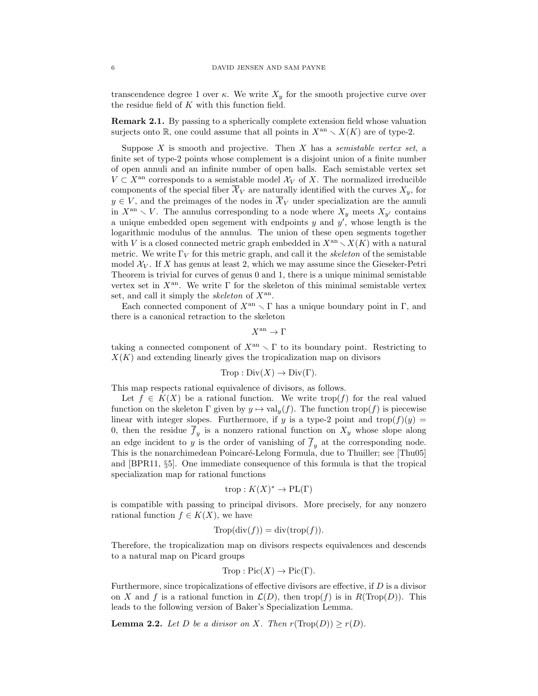transcendence degree 1 over  $\kappa$ . We write  $X_y$  for the smooth projective curve over the residue field of K with this function field.

Remark 2.1. By passing to a spherically complete extension field whose valuation surjects onto R, one could assume that all points in  $X^{\text{an}} \setminus X(K)$  are of type-2.

Suppose  $X$  is smooth and projective. Then  $X$  has a semistable vertex set, a finite set of type-2 points whose complement is a disjoint union of a finite number of open annuli and an infinite number of open balls. Each semistable vertex set  $V \subset X^{\text{an}}$  corresponds to a semistable model  $\mathcal{X}_V$  of X. The normalized irreducible components of the special fiber  $\overline{\mathcal{X}}_V$  are naturally identified with the curves  $X_y$ , for  $y \in V$ , and the preimages of the nodes in  $\overline{\mathcal{X}}_V$  under specialization are the annuli in  $X^{\rm an} \setminus V$ . The annulus corresponding to a node where  $X_y$  meets  $X_{y'}$  contains a unique embedded open segement with endpoints  $y$  and  $y'$ , whose length is the logarithmic modulus of the annulus. The union of these open segments together with V is a closed connected metric graph embedded in  $X^{an} \setminus X(K)$  with a natural metric. We write  $\Gamma_V$  for this metric graph, and call it the *skeleton* of the semistable model  $\mathcal{X}_V$ . If X has genus at least 2, which we may assume since the Gieseker-Petri Theorem is trivial for curves of genus 0 and 1, there is a unique minimal semistable vertex set in  $X^{\text{an}}$ . We write  $\Gamma$  for the skeleton of this minimal semistable vertex set, and call it simply the *skeleton* of  $X^{\text{an}}$ .

Each connected component of  $X^{\text{an}} \setminus \Gamma$  has a unique boundary point in Γ, and there is a canonical retraction to the skeleton

$$
X^{\mathrm{an}} \to \Gamma
$$

taking a connected component of  $X^{\text{an}} \setminus \Gamma$  to its boundary point. Restricting to  $X(K)$  and extending linearly gives the tropicalization map on divisors

$$
Trop: Div(X) \to Div(\Gamma).
$$

This map respects rational equivalence of divisors, as follows.

Let  $f \in K(X)$  be a rational function. We write trop(f) for the real valued function on the skeleton  $\Gamma$  given by  $y \mapsto \text{val}_y(f)$ . The function  $\text{trop}(f)$  is piecewise linear with integer slopes. Furthermore, if y is a type-2 point and  $\text{trop}(f)(y) =$ 0, then the residue  $f_y$  is a nonzero rational function on  $X_y$  whose slope along an edge incident to y is the order of vanishing of  $f_y$  at the corresponding node. This is the nonarchimedean Poincaré-Lelong Formula, due to Thuiller; see [Thu05] and [BPR11, §5]. One immediate consequence of this formula is that the tropical specialization map for rational functions

$$
trop: K(X)^* \to \text{PL}(\Gamma)
$$

is compatible with passing to principal divisors. More precisely, for any nonzero rational function  $f \in K(X)$ , we have

$$
Trop(\text{div}(f)) = \text{div}(\text{trop}(f)).
$$

Therefore, the tropicalization map on divisors respects equivalences and descends to a natural map on Picard groups

$$
Trop : Pic(X) \to Pic(\Gamma).
$$

Furthermore, since tropicalizations of effective divisors are effective, if  $D$  is a divisor on X and f is a rational function in  $\mathcal{L}(D)$ , then trop(f) is in  $R(\text{Trop}(D))$ . This leads to the following version of Baker's Specialization Lemma.

**Lemma 2.2.** Let D be a divisor on X. Then  $r(Trop(D)) \ge r(D)$ .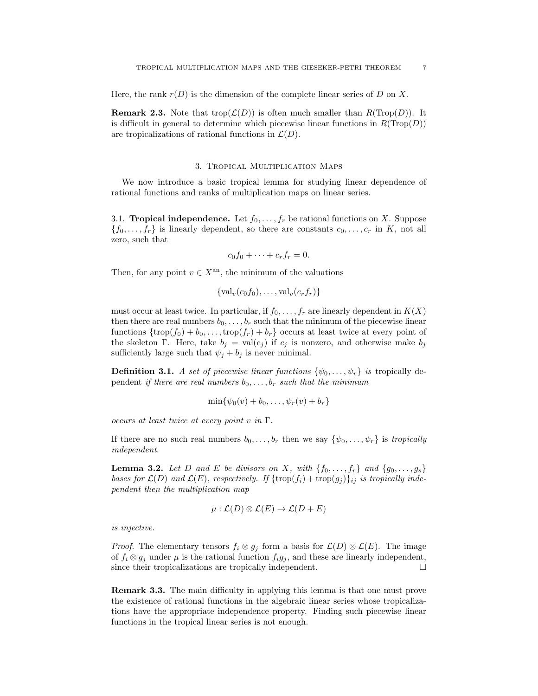Here, the rank  $r(D)$  is the dimension of the complete linear series of D on X.

**Remark 2.3.** Note that trop $(\mathcal{L}(D))$  is often much smaller than  $R(Trop(D))$ . It is difficult in general to determine which piecewise linear functions in  $R(Trop(D))$ are tropicalizations of rational functions in  $\mathcal{L}(D)$ .

#### 3. Tropical Multiplication Maps

We now introduce a basic tropical lemma for studying linear dependence of rational functions and ranks of multiplication maps on linear series.

3.1. **Tropical independence.** Let  $f_0, \ldots, f_r$  be rational functions on X. Suppose  $\{f_0, \ldots, f_r\}$  is linearly dependent, so there are constants  $c_0, \ldots, c_r$  in K, not all zero, such that

$$
c_0f_0+\cdots+c_rf_r=0.
$$

Then, for any point  $v \in X^{\text{an}}$ , the minimum of the valuations

$$
\{\operatorname{val}_v(c_0f_0),\ldots,\operatorname{val}_v(c_rf_r)\}\
$$

must occur at least twice. In particular, if  $f_0, \ldots, f_r$  are linearly dependent in  $K(X)$ then there are real numbers  $b_0, \ldots, b_r$  such that the minimum of the piecewise linear functions  $\{\text{trop}(f_0) + b_0, \ldots, \text{trop}(f_r) + b_r\}$  occurs at least twice at every point of the skeleton Γ. Here, take  $b_j = \text{val}(c_j)$  if  $c_j$  is nonzero, and otherwise make  $b_j$ sufficiently large such that  $\psi_j + b_j$  is never minimal.

**Definition 3.1.** A set of piecewise linear functions  $\{\psi_0, \ldots, \psi_r\}$  is tropically dependent if there are real numbers  $b_0, \ldots, b_r$  such that the minimum

$$
\min\{\psi_0(v)+b_0,\ldots,\psi_r(v)+b_r\}
$$

occurs at least twice at every point v in  $\Gamma$ .

If there are no such real numbers  $b_0, \ldots, b_r$  then we say  $\{\psi_0, \ldots, \psi_r\}$  is tropically independent.

**Lemma 3.2.** Let D and E be divisors on X, with  $\{f_0, \ldots, f_r\}$  and  $\{g_0, \ldots, g_s\}$ bases for  $\mathcal{L}(D)$  and  $\mathcal{L}(E)$ , respectively. If  $\{\text{trop}(f_i) + \text{trop}(g_j)\}_{ij}$  is tropically independent then the multiplication map

$$
\mu: \mathcal{L}(D) \otimes \mathcal{L}(E) \to \mathcal{L}(D + E)
$$

is injective.

*Proof.* The elementary tensors  $f_i \otimes g_j$  form a basis for  $\mathcal{L}(D) \otimes \mathcal{L}(E)$ . The image of  $f_i \otimes g_j$  under  $\mu$  is the rational function  $f_i g_j$ , and these are linearly independent, since their tropicalizations are tropically independent.  $\Box$ 

Remark 3.3. The main difficulty in applying this lemma is that one must prove the existence of rational functions in the algebraic linear series whose tropicalizations have the appropriate independence property. Finding such piecewise linear functions in the tropical linear series is not enough.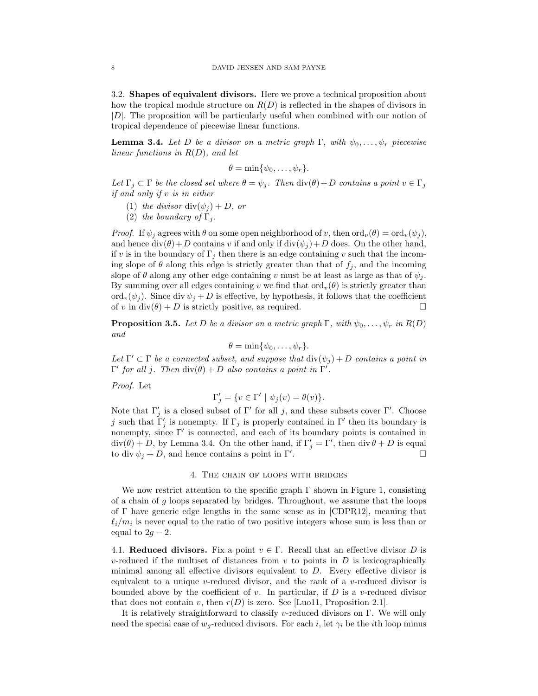3.2. Shapes of equivalent divisors. Here we prove a technical proposition about how the tropical module structure on  $R(D)$  is reflected in the shapes of divisors in  $|D|$ . The proposition will be particularly useful when combined with our notion of tropical dependence of piecewise linear functions.

**Lemma 3.4.** Let D be a divisor on a metric graph  $\Gamma$ , with  $\psi_0, \ldots, \psi_r$  piecewise linear functions in  $R(D)$ , and let

$$
\theta = \min\{\psi_0, \ldots, \psi_r\}.
$$

Let  $\Gamma_j \subset \Gamma$  be the closed set where  $\theta = \psi_j$ . Then  $\text{div}(\theta) + D$  contains a point  $v \in \Gamma_j$ if and only if v is in either

- (1) the divisor  $\text{div}(\psi_i) + D$ , or
- (2) the boundary of  $\Gamma_i$ .

*Proof.* If  $\psi_i$  agrees with  $\theta$  on some open neighborhood of v, then  $\text{ord}_v(\theta) = \text{ord}_v(\psi_i)$ , and hence  $div(\theta) + D$  contains v if and only if  $div(\psi_i) + D$  does. On the other hand, if v is in the boundary of  $\Gamma_j$  then there is an edge containing v such that the incoming slope of  $\theta$  along this edge is strictly greater than that of  $f_j$ , and the incoming slope of  $\theta$  along any other edge containing v must be at least as large as that of  $\psi_j$ . By summing over all edges containing v we find that  $\text{ord}_v(\theta)$  is strictly greater than ord<sub>v</sub> $(\psi_i)$ . Since div  $\psi_i + D$  is effective, by hypothesis, it follows that the coefficient of v in div( $\theta$ ) + D is strictly positive, as required.

**Proposition 3.5.** Let D be a divisor on a metric graph  $\Gamma$ , with  $\psi_0, \ldots, \psi_r$  in  $R(D)$ and

$$
\theta = \min\{\psi_0, \ldots, \psi_r\}.
$$

Let  $\Gamma' \subset \Gamma$  be a connected subset, and suppose that  $\text{div}(\psi_j) + D$  contains a point in  $Γ'$  for all j. Then  $div(θ) + D$  also contains a point in  $Γ'$ .

Proof. Let

$$
\Gamma_j' = \{ v \in \Gamma' \mid \psi_j(v) = \theta(v) \}.
$$

Note that  $\Gamma'_j$  is a closed subset of  $\Gamma'$  for all j, and these subsets cover  $\Gamma'$ . Choose j such that  $\tilde{\Gamma}'_j$  is nonempty. If  $\Gamma_j$  is properly contained in  $\Gamma'$  then its boundary is nonempty, since  $\Gamma'$  is connected, and each of its boundary points is contained in  $div(\theta) + D$ , by Lemma 3.4. On the other hand, if  $\Gamma'_j = \Gamma'$ , then  $div \theta + D$  is equal to div  $\psi_i + D$ , and hence contains a point in Γ'. . <sup>2</sup> до 1920 година и производите с производите с производите с производите с производите с производите с про<br>В 1920 година и производите с производите с производите с производите с производите с производите с производит

#### 4. The chain of loops with bridges

We now restrict attention to the specific graph  $\Gamma$  shown in Figure 1, consisting of a chain of  $g$  loops separated by bridges. Throughout, we assume that the loops of Γ have generic edge lengths in the same sense as in [CDPR12], meaning that  $\ell_i/m_i$  is never equal to the ratio of two positive integers whose sum is less than or equal to  $2g - 2$ .

4.1. Reduced divisors. Fix a point  $v \in \Gamma$ . Recall that an effective divisor D is v-reduced if the multiset of distances from  $v$  to points in  $D$  is lexicographically minimal among all effective divisors equivalent to  $D$ . Every effective divisor is equivalent to a unique v-reduced divisor, and the rank of a v-reduced divisor is bounded above by the coefficient of v. In particular, if  $D$  is a v-reduced divisor that does not contain v, then  $r(D)$  is zero. See [Luo11, Proposition 2.1].

It is relatively straightforward to classify v-reduced divisors on Γ. We will only need the special case of  $w_q$ -reduced divisors. For each i, let  $\gamma_i$  be the ith loop minus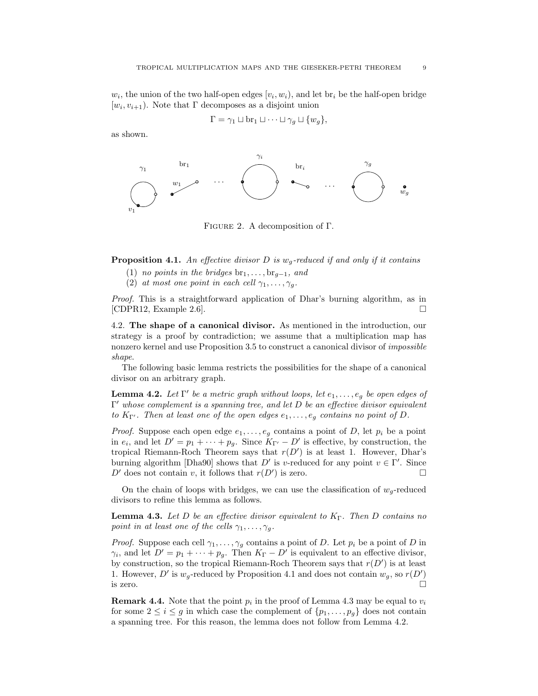$w_i$ , the union of the two half-open edges  $[v_i, w_i)$ , and let  $\text{br}_i$  be the half-open bridge  $[w_i, v_{i+1})$ . Note that  $\Gamma$  decomposes as a disjoint union

$$
\Gamma = \gamma_1 \sqcup \text{br}_1 \sqcup \cdots \sqcup \gamma_g \sqcup \{w_g\},
$$

as shown.



Figure 2. A decomposition of Γ.

**Proposition 4.1.** An effective divisor D is  $w_q$ -reduced if and only if it contains

- (1) no points in the bridges  $br_1, \ldots, br_{g-1}$ , and
- (2) at most one point in each cell  $\gamma_1, \ldots, \gamma_q$ .

Proof. This is a straightforward application of Dhar's burning algorithm, as in [CDPR12, Example 2.6].

4.2. The shape of a canonical divisor. As mentioned in the introduction, our strategy is a proof by contradiction; we assume that a multiplication map has nonzero kernel and use Proposition 3.5 to construct a canonical divisor of impossible shape.

The following basic lemma restricts the possibilities for the shape of a canonical divisor on an arbitrary graph.

**Lemma 4.2.** Let  $\Gamma'$  be a metric graph without loops, let  $e_1, \ldots, e_g$  be open edges of  $\Gamma'$  whose complement is a spanning tree, and let D be an effective divisor equivalent to  $K_{\Gamma'}$ . Then at least one of the open edges  $e_1, \ldots, e_g$  contains no point of D.

*Proof.* Suppose each open edge  $e_1, \ldots, e_g$  contains a point of D, let  $p_i$  be a point in  $e_i$ , and let  $D' = p_1 + \cdots + p_g$ . Since  $K_{\Gamma'} - D'$  is effective, by construction, the tropical Riemann-Roch Theorem says that  $r(D')$  is at least 1. However, Dhar's burning algorithm [Dha90] shows that D' is v-reduced for any point  $v \in \Gamma'$ . Since  $D'$  does not contain v, it follows that  $r(D')$  is zero.

On the chain of loops with bridges, we can use the classification of  $w_q$ -reduced divisors to refine this lemma as follows.

**Lemma 4.3.** Let D be an effective divisor equivalent to  $K_{\Gamma}$ . Then D contains no point in at least one of the cells  $\gamma_1, \ldots, \gamma_q$ .

*Proof.* Suppose each cell  $\gamma_1, \ldots, \gamma_g$  contains a point of D. Let  $p_i$  be a point of D in  $\gamma_i$ , and let  $D' = p_1 + \cdots + p_g$ . Then  $K_{\Gamma} - D'$  is equivalent to an effective divisor, by construction, so the tropical Riemann-Roch Theorem says that  $r(D')$  is at least 1. However, D' is  $w_g$ -reduced by Proposition 4.1 and does not contain  $w_g$ , so  $r(D')$ is zero.  $\Box$ 

**Remark 4.4.** Note that the point  $p_i$  in the proof of Lemma 4.3 may be equal to  $v_i$ for some  $2 \leq i \leq g$  in which case the complement of  $\{p_1, \ldots, p_g\}$  does not contain a spanning tree. For this reason, the lemma does not follow from Lemma 4.2.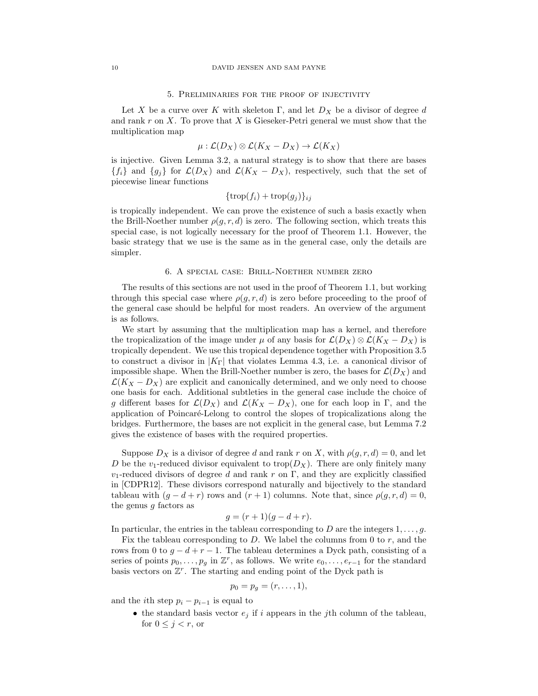#### 5. Preliminaries for the proof of injectivity

Let X be a curve over K with skeleton Γ, and let  $D_X$  be a divisor of degree d and rank  $r$  on  $X$ . To prove that  $X$  is Gieseker-Petri general we must show that the multiplication map

$$
\mu: \mathcal{L}(D_X) \otimes \mathcal{L}(K_X - D_X) \to \mathcal{L}(K_X)
$$

is injective. Given Lemma 3.2, a natural strategy is to show that there are bases  ${f_i}$  and  ${g_j}$  for  $\mathcal{L}(D_X)$  and  $\mathcal{L}(K_X - D_X)$ , respectively, such that the set of piecewise linear functions

$$
\{\operatorname{trop}(f_i) + \operatorname{trop}(g_j)\}_{ij}
$$

is tropically independent. We can prove the existence of such a basis exactly when the Brill-Noether number  $\rho(g, r, d)$  is zero. The following section, which treats this special case, is not logically necessary for the proof of Theorem 1.1. However, the basic strategy that we use is the same as in the general case, only the details are simpler.

## 6. A special case: Brill-Noether number zero

The results of this sections are not used in the proof of Theorem 1.1, but working through this special case where  $\rho(g, r, d)$  is zero before proceeding to the proof of the general case should be helpful for most readers. An overview of the argument is as follows.

We start by assuming that the multiplication map has a kernel, and therefore the tropicalization of the image under  $\mu$  of any basis for  $\mathcal{L}(D_X) \otimes \mathcal{L}(K_X - D_X)$  is tropically dependent. We use this tropical dependence together with Proposition 3.5 to construct a divisor in  $|K_{\Gamma}|$  that violates Lemma 4.3, i.e. a canonical divisor of impossible shape. When the Brill-Noether number is zero, the bases for  $\mathcal{L}(D_X)$  and  $\mathcal{L}(K_X - D_X)$  are explicit and canonically determined, and we only need to choose one basis for each. Additional subtleties in the general case include the choice of g different bases for  $\mathcal{L}(D_X)$  and  $\mathcal{L}(K_X - D_X)$ , one for each loop in Γ, and the application of Poincaré-Lelong to control the slopes of tropicalizations along the bridges. Furthermore, the bases are not explicit in the general case, but Lemma 7.2 gives the existence of bases with the required properties.

Suppose  $D_X$  is a divisor of degree d and rank r on X, with  $\rho(g, r, d) = 0$ , and let D be the v<sub>1</sub>-reduced divisor equivalent to trop( $D_X$ ). There are only finitely many  $v_1$ -reduced divisors of degree d and rank r on Γ, and they are explicitly classified in [CDPR12]. These divisors correspond naturally and bijectively to the standard tableau with  $(g - d + r)$  rows and  $(r + 1)$  columns. Note that, since  $\rho(g, r, d) = 0$ , the genus  $g$  factors as

$$
g = (r+1)(g-d+r).
$$

In particular, the entries in the tableau corresponding to D are the integers  $1, \ldots, g$ .

Fix the tableau corresponding to  $D$ . We label the columns from 0 to  $r$ , and the rows from 0 to  $g - d + r - 1$ . The tableau determines a Dyck path, consisting of a series of points  $p_0, \ldots, p_g$  in  $\mathbb{Z}^r$ , as follows. We write  $e_0, \ldots, e_{r-1}$  for the standard basis vectors on  $\mathbb{Z}^r$ . The starting and ending point of the Dyck path is

$$
p_0=p_g=(r,\ldots,1),
$$

and the *i*th step  $p_i - p_{i-1}$  is equal to

• the standard basis vector  $e_j$  if i appears in the jth column of the tableau, for  $0 \leq j < r$ , or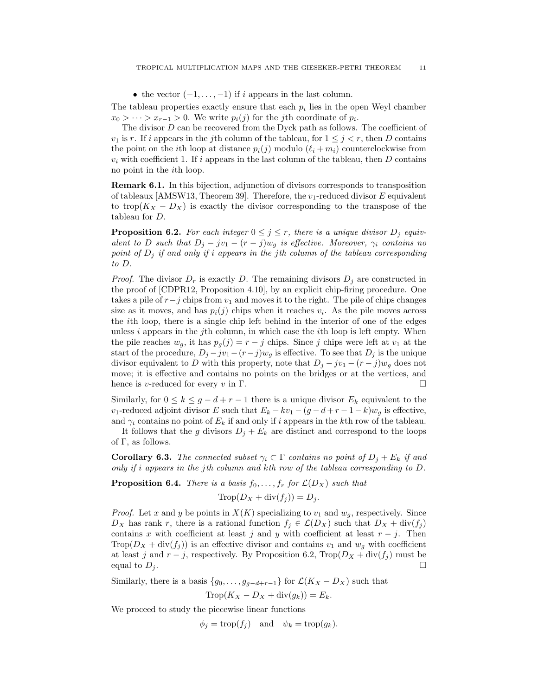• the vector  $(-1, \ldots, -1)$  if i appears in the last column.

The tableau properties exactly ensure that each  $p_i$  lies in the open Weyl chamber  $x_0 > \cdots > x_{r-1} > 0$ . We write  $p_i(j)$  for the j<sup>th</sup> coordinate of  $p_i$ .

The divisor  $D$  can be recovered from the Dyck path as follows. The coefficient of  $v_1$  is r. If i appears in the j<sup>th</sup> column of the tableau, for  $1 \leq j \leq r$ , then D contains the point on the *i*th loop at distance  $p_i(j)$  modulo  $(\ell_i + m_i)$  counterclockwise from  $v_i$  with coefficient 1. If i appears in the last column of the tableau, then D contains no point in the ith loop.

Remark 6.1. In this bijection, adjunction of divisors corresponds to transposition of tableaux [AMSW13, Theorem 39]. Therefore, the  $v_1$ -reduced divisor E equivalent to trop( $K_X - D_X$ ) is exactly the divisor corresponding to the transpose of the tableau for D.

**Proposition 6.2.** For each integer  $0 \leq j \leq r$ , there is a unique divisor  $D_j$  equivalent to D such that  $D_j - jv_1 - (r - j)w_q$  is effective. Moreover,  $\gamma_i$  contains no point of  $D_i$  if and only if i appears in the jth column of the tableau corresponding to D.

*Proof.* The divisor  $D_r$  is exactly D. The remaining divisors  $D_j$  are constructed in the proof of [CDPR12, Proposition 4.10], by an explicit chip-firing procedure. One takes a pile of  $r-j$  chips from  $v_1$  and moves it to the right. The pile of chips changes size as it moves, and has  $p_i(j)$  chips when it reaches  $v_i$ . As the pile moves across the ith loop, there is a single chip left behind in the interior of one of the edges unless  $i$  appears in the j<sup>th</sup> column, in which case the  $i$ <sup>th</sup> loop is left empty. When the pile reaches  $w_g$ , it has  $p_g(j) = r - j$  chips. Since j chips were left at  $v_1$  at the start of the procedure,  $D_j - jv_1 - (r-j)w_g$  is effective. To see that  $D_j$  is the unique divisor equivalent to D with this property, note that  $D_i - jv_1 - (r - j)w_q$  does not move; it is effective and contains no points on the bridges or at the vertices, and hence is v-reduced for every v in  $\Gamma$ .

Similarly, for  $0 \le k \le g - d + r - 1$  there is a unique divisor  $E_k$  equivalent to the v<sub>1</sub>-reduced adjoint divisor E such that  $E_k - kv_1 - (g - d + r - 1 - k)w_q$  is effective, and  $\gamma_i$  contains no point of  $E_k$  if and only if i appears in the kth row of the tableau.

It follows that the g divisors  $D_j + E_k$  are distinct and correspond to the loops of  $\Gamma$ , as follows.

**Corollary 6.3.** The connected subset  $\gamma_i \subset \Gamma$  contains no point of  $D_j + E_k$  if and only if i appears in the jth column and kth row of the tableau corresponding to D.

**Proposition 6.4.** There is a basis  $f_0, \ldots, f_r$  for  $\mathcal{L}(D_X)$  such that

$$
\text{Trop}(D_X + \text{div}(f_j)) = D_j.
$$

*Proof.* Let x and y be points in  $X(K)$  specializing to  $v_1$  and  $w_q$ , respectively. Since  $D_X$  has rank r, there is a rational function  $f_j \in \mathcal{L}(D_X)$  such that  $D_X + \text{div}(f_j)$ contains x with coefficient at least j and y with coefficient at least  $r - j$ . Then Trop $(D_X + \text{div}(f_i))$  is an effective divisor and contains  $v_1$  and  $w_q$  with coefficient at least j and  $r - j$ , respectively. By Proposition 6.2, Trop $(D_X + \text{div}(f_j))$  must be equal to  $D_i$ .

Similarly, there is a basis  $\{g_0, \ldots, g_{q-d+r-1}\}\$  for  $\mathcal{L}(K_X - D_X)$  such that

$$
\text{Trop}(K_X - D_X + \text{div}(g_k)) = E_k.
$$

We proceed to study the piecewise linear functions

 $\phi_i = \text{trop}(f_i)$  and  $\psi_k = \text{trop}(g_k)$ .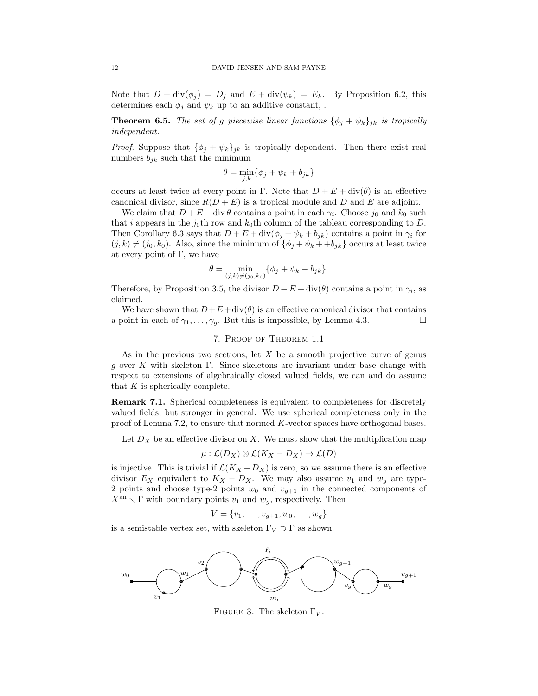Note that  $D + \text{div}(\phi_j) = D_j$  and  $E + \text{div}(\psi_k) = E_k$ . By Proposition 6.2, this determines each  $\phi_j$  and  $\psi_k$  up to an additive constant, .

**Theorem 6.5.** The set of g piecewise linear functions  $\{\phi_j + \psi_k\}_{jk}$  is tropically independent.

*Proof.* Suppose that  $\{\phi_i + \psi_k\}_{jk}$  is tropically dependent. Then there exist real numbers  $b_{jk}$  such that the minimum

$$
\theta = \min_{j,k} \{ \phi_j + \psi_k + b_{jk} \}
$$

occurs at least twice at every point in Γ. Note that  $D + E + \text{div}(\theta)$  is an effective canonical divisor, since  $R(D + E)$  is a tropical module and D and E are adjoint.

We claim that  $D + E + \text{div }\theta$  contains a point in each  $\gamma_i$ . Choose  $j_0$  and  $k_0$  such that i appears in the j<sub>0</sub>th row and  $k_0$ th column of the tableau corresponding to D. Then Corollary 6.3 says that  $D + E + \text{div}(\phi_j + \psi_k + b_{jk})$  contains a point in  $\gamma_i$  for  $(j, k) \neq (j_0, k_0)$ . Also, since the minimum of  $\{\phi_i + \psi_k + \phi_{ik}\}\)$  occurs at least twice at every point of  $\Gamma$ , we have

$$
\theta = \min_{(j,k)\neq(j_0,k_0)} \{ \phi_j + \psi_k + b_{jk} \}.
$$

Therefore, by Proposition 3.5, the divisor  $D + E + \text{div}(\theta)$  contains a point in  $\gamma_i$ , as claimed.

We have shown that  $D+E+\text{div}(\theta)$  is an effective canonical divisor that contains a point in each of  $\gamma_1, \ldots, \gamma_q$ . But this is impossible, by Lemma 4.3.

## 7. Proof of Theorem 1.1

As in the previous two sections, let X be a smooth projective curve of genus g over K with skeleton Γ. Since skeletons are invariant under base change with respect to extensions of algebraically closed valued fields, we can and do assume that  $K$  is spherically complete.

Remark 7.1. Spherical completeness is equivalent to completeness for discretely valued fields, but stronger in general. We use spherical completeness only in the proof of Lemma 7.2, to ensure that normed K-vector spaces have orthogonal bases.

Let  $D_X$  be an effective divisor on X. We must show that the multiplication map

 $\mu : \mathcal{L}(D_X) \otimes \mathcal{L}(K_X - D_X) \rightarrow \mathcal{L}(D)$ 

is injective. This is trivial if  $\mathcal{L}(K_X - D_X)$  is zero, so we assume there is an effective divisor  $E_X$  equivalent to  $K_X - D_X$ . We may also assume  $v_1$  and  $w_g$  are type-2 points and choose type-2 points  $w_0$  and  $v_{g+1}$  in the connected components of  $X^{\text{an}} \setminus \Gamma$  with boundary points  $v_1$  and  $w_g$ , respectively. Then

$$
V = \{v_1, \ldots, v_{g+1}, w_0, \ldots, w_g\}
$$

is a semistable vertex set, with skeleton  $\Gamma_V \supset \Gamma$  as shown.



FIGURE 3. The skeleton  $\Gamma_V$ .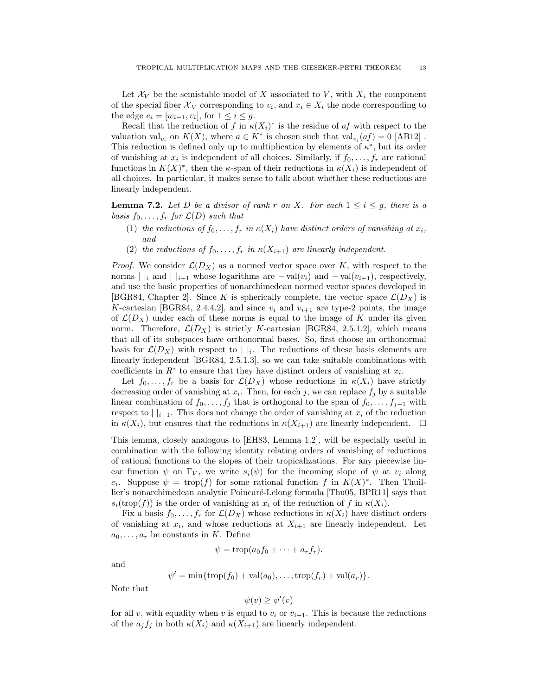Let  $\mathcal{X}_V$  be the semistable model of X associated to V, with  $X_i$  the component of the special fiber  $\mathcal{X}_V$  corresponding to  $v_i$ , and  $x_i \in X_i$  the node corresponding to the edge  $e_i = [w_{i-1}, v_i]$ , for  $1 \leq i \leq g$ .

Recall that the reduction of f in  $\kappa(X_i)^*$  is the residue of af with respect to the valuation val<sub>v<sub>i</sub></sub> on  $K(X)$ , where  $a \in K^*$  is chosen such that val<sub>v<sub>i</sub></sub> $(af) = 0$  [AB12]. This reduction is defined only up to multiplication by elements of  $\kappa^*$ , but its order of vanishing at  $x_i$  is independent of all choices. Similarly, if  $f_0, \ldots, f_r$  are rational functions in  $K(X)^*$ , then the  $\kappa$ -span of their reductions in  $\kappa(X_i)$  is independent of all choices. In particular, it makes sense to talk about whether these reductions are linearly independent.

**Lemma 7.2.** Let D be a divisor of rank r on X. For each  $1 \leq i \leq g$ , there is a basis  $f_0, \ldots, f_r$  for  $\mathcal{L}(D)$  such that

- (1) the reductions of  $f_0, \ldots, f_r$  in  $\kappa(X_i)$  have distinct orders of vanishing at  $x_i$ , and
- (2) the reductions of  $f_0, \ldots, f_r$  in  $\kappa(X_{i+1})$  are linearly independent.

*Proof.* We consider  $\mathcal{L}(D_X)$  as a normed vector space over K, with respect to the norms | |<sub>i</sub> and | |<sub>i+1</sub> whose logarithms are  $-\text{val}(v_i)$  and  $-\text{val}(v_{i+1})$ , respectively, and use the basic properties of nonarchimedean normed vector spaces developed in [BGR84, Chapter 2]. Since K is spherically complete, the vector space  $\mathcal{L}(D_X)$  is K-cartesian [BGR84, 2.4.4.2], and since  $v_i$  and  $v_{i+1}$  are type-2 points, the image of  $\mathcal{L}(D_X)$  under each of these norms is equal to the image of K under its given norm. Therefore,  $\mathcal{L}(D_X)$  is strictly K-cartesian [BGR84, 2.5.1.2], which means that all of its subspaces have orthonormal bases. So, first choose an orthonormal basis for  $\mathcal{L}(D_X)$  with respect to  $||i||$ . The reductions of these basis elements are linearly independent [BGR84, 2.5.1.3], so we can take suitable combinations with coefficients in  $R^*$  to ensure that they have distinct orders of vanishing at  $x_i$ .

Let  $f_0, \ldots, f_r$  be a basis for  $\mathcal{L}(D_X)$  whose reductions in  $\kappa(X_i)$  have strictly decreasing order of vanishing at  $x_i$ . Then, for each j, we can replace  $f_j$  by a suitable linear combination of  $f_0, \ldots, f_j$  that is orthogonal to the span of  $f_0, \ldots, f_{j-1}$  with respect to  $||_{i+1}$ . This does not change the order of vanishing at  $x_i$  of the reduction in  $\kappa(X_i)$ , but ensures that the reductions in  $\kappa(X_{i+1})$  are linearly independent.  $\Box$ 

This lemma, closely analogous to [EH83, Lemma 1.2], will be especially useful in combination with the following identity relating orders of vanishing of reductions of rational functions to the slopes of their tropicalizations. For any piecewise linear function  $\psi$  on  $\Gamma_V$ , we write  $s_i(\psi)$  for the incoming slope of  $\psi$  at  $v_i$  along  $e_i$ . Suppose  $\psi = \text{trop}(f)$  for some rational function f in  $K(X)^*$ . Then Thuillier's nonarchimedean analytic Poincaré-Lelong formula [Thu05, BPR11] says that  $s_i(\text{trop}(f))$  is the order of vanishing at  $x_i$  of the reduction of f in  $\kappa(X_i)$ .

Fix a basis  $f_0, \ldots, f_r$  for  $\mathcal{L}(D_X)$  whose reductions in  $\kappa(X_i)$  have distinct orders of vanishing at  $x_i$ , and whose reductions at  $X_{i+1}$  are linearly independent. Let  $a_0, \ldots, a_r$  be constants in K. Define

$$
\psi = \operatorname{trop}(a_0 f_0 + \cdots + a_r f_r).
$$

and

$$
\psi' = \min\{\operatorname{trop}(f_0) + \operatorname{val}(a_0), \dots, \operatorname{trop}(f_r) + \operatorname{val}(a_r)\}.
$$

Note that

$$
\psi(v) \ge \psi'(v)
$$

for all v, with equality when v is equal to  $v_i$  or  $v_{i+1}$ . This is because the reductions of the  $a_j f_j$  in both  $\kappa(X_i)$  and  $\kappa(X_{i+1})$  are linearly independent.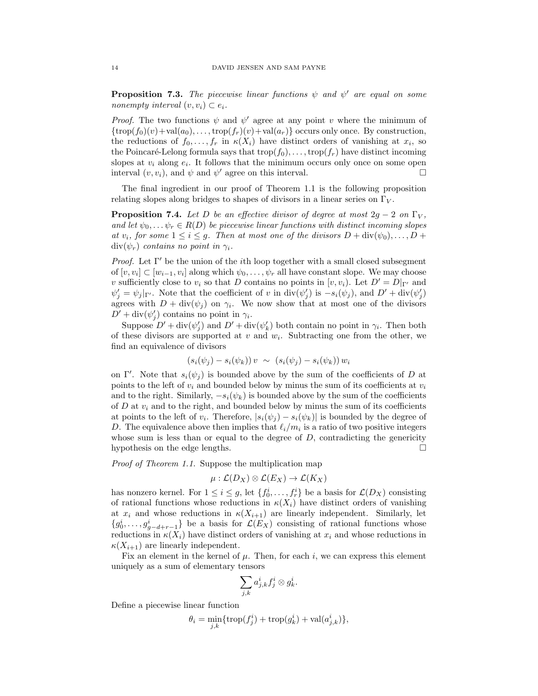**Proposition 7.3.** The piecewise linear functions  $\psi$  and  $\psi'$  are equal on some nonempty interval  $(v, v_i) \subset e_i$ .

*Proof.* The two functions  $\psi$  and  $\psi'$  agree at any point v where the minimum of  $\{\text{trop}(f_0)(v)+\text{val}(a_0),\ldots,\text{trop}(f_r)(v)+\text{val}(a_r)\}\)$  occurs only once. By construction, the reductions of  $f_0, \ldots, f_r$  in  $\kappa(X_i)$  have distinct orders of vanishing at  $x_i$ , so the Poincaré-Lelong formula says that  $\text{trop}(f_0), \ldots, \text{trop}(f_r)$  have distinct incoming slopes at  $v_i$  along  $e_i$ . It follows that the minimum occurs only once on some open interval  $(v, v_i)$ , and  $\psi$  and  $\psi'$  agree on this interval.

The final ingredient in our proof of Theorem 1.1 is the following proposition relating slopes along bridges to shapes of divisors in a linear series on  $\Gamma_V$ .

**Proposition 7.4.** Let D be an effective divisor of degree at most  $2g - 2$  on  $\Gamma_V$ , and let  $\psi_0, \ldots \psi_r \in R(D)$  be piecewise linear functions with distinct incoming slopes at  $v_i$ , for some  $1 \leq i \leq g$ . Then at most one of the divisors  $D + \text{div}(\psi_0), \ldots, D +$  $div(\psi_r)$  contains no point in  $\gamma_i$ .

*Proof.* Let  $\Gamma'$  be the union of the *i*th loop together with a small closed subsegment of  $[v, v_i] \subset [w_{i-1}, v_i]$  along which  $\psi_0, \ldots, \psi_r$  all have constant slope. We may choose v sufficiently close to  $v_i$  so that D contains no points in  $[v, v_i)$ . Let  $D' = D|_{\Gamma'}$  and  $\psi'_j = \psi_j|_{\Gamma'}$ . Note that the coefficient of v in  $\text{div}(\psi'_j)$  is  $-s_i(\psi_j)$ , and  $D' + \text{div}(\psi'_j)$ agrees with  $D + \text{div}(\psi_j)$  on  $\gamma_i$ . We now show that at most one of the divisors  $D' + \text{div}(\psi'_j)$  contains no point in  $\gamma_i$ .

Suppose  $D' + \text{div}(\psi_j')$  and  $D' + \text{div}(\psi_k')$  both contain no point in  $\gamma_i$ . Then both of these divisors are supported at  $v$  and  $w_i$ . Subtracting one from the other, we find an equivalence of divisors

$$
(s_i(\psi_j) - s_i(\psi_k)) v \sim (s_i(\psi_j) - s_i(\psi_k)) w_i
$$

on Γ'. Note that  $s_i(\psi_j)$  is bounded above by the sum of the coefficients of D at points to the left of  $v_i$  and bounded below by minus the sum of its coefficients at  $v_i$ and to the right. Similarly,  $-s_i(\psi_k)$  is bounded above by the sum of the coefficients of D at  $v_i$  and to the right, and bounded below by minus the sum of its coefficients at points to the left of  $v_i$ . Therefore,  $|s_i(\psi_j) - s_i(\psi_k)|$  is bounded by the degree of D. The equivalence above then implies that  $\ell_i/m_i$  is a ratio of two positive integers whose sum is less than or equal to the degree of  $D$ , contradicting the genericity hypothesis on the edge lengths.

Proof of Theorem 1.1. Suppose the multiplication map

$$
\mu : \mathcal{L}(D_X) \otimes \mathcal{L}(E_X) \to \mathcal{L}(K_X)
$$

has nonzero kernel. For  $1 \leq i \leq g$ , let  $\{f_0^i, \ldots, f_r^i\}$  be a basis for  $\mathcal{L}(D_X)$  consisting of rational functions whose reductions in  $\kappa(X_i)$  have distinct orders of vanishing at  $x_i$  and whose reductions in  $\kappa(X_{i+1})$  are linearly independent. Similarly, let  ${g_0^i, \ldots, g_{g-d+r-1}^i}$  be a basis for  $\mathcal{L}(E_X)$  consisting of rational functions whose reductions in  $\kappa(X_i)$  have distinct orders of vanishing at  $x_i$  and whose reductions in  $\kappa(X_{i+1})$  are linearly independent.

Fix an element in the kernel of  $\mu$ . Then, for each i, we can express this element uniquely as a sum of elementary tensors

$$
\sum_{j,k}a_{j,k}^if_j^i\otimes g_k^i.
$$

Define a piecewise linear function

$$
\theta_i = \min_{j,k} \{ \operatorname{trop}(f_j^i) + \operatorname{trop}(g_k^i) + \operatorname{val}(a_{j,k}^i) \},\
$$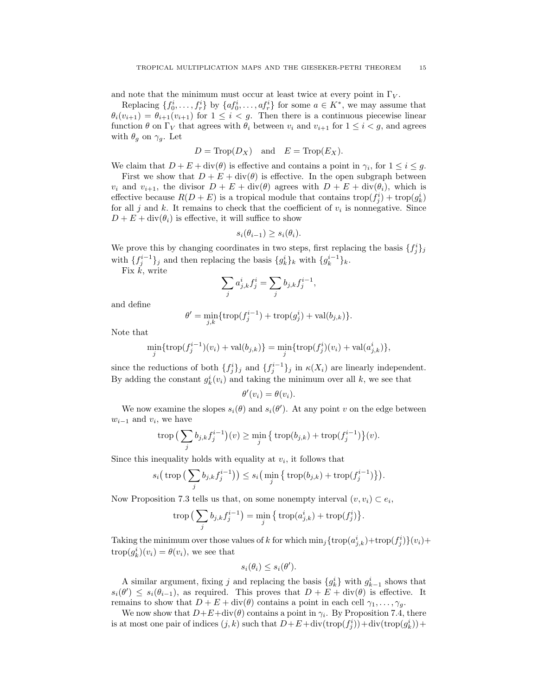and note that the minimum must occur at least twice at every point in  $\Gamma_V$ .

Replacing  $\{f_0^i, \ldots, f_r^i\}$  by  $\{af_0^i, \ldots, af_r^i\}$  for some  $a \in K^*$ , we may assume that  $\theta_i(v_{i+1}) = \theta_{i+1}(v_{i+1})$  for  $1 \leq i < g$ . Then there is a continuous piecewise linear function  $\theta$  on  $\Gamma_V$  that agrees with  $\theta_i$  between  $v_i$  and  $v_{i+1}$  for  $1 \leq i < g$ , and agrees with  $\theta_q$  on  $\gamma_q$ . Let

$$
D = \text{Trop}(D_X) \quad \text{and} \quad E = \text{Trop}(E_X).
$$

We claim that  $D + E + \text{div}(\theta)$  is effective and contains a point in  $\gamma_i$ , for  $1 \leq i \leq g$ .

First we show that  $D + E + \text{div}(\theta)$  is effective. In the open subgraph between  $v_i$  and  $v_{i+1}$ , the divisor  $D + E + \text{div}(\theta)$  agrees with  $D + E + \text{div}(\theta_i)$ , which is effective because  $R(D + E)$  is a tropical module that contains  $\text{trop}(f_j^i) + \text{trop}(g_k^i)$ for all  $j$  and  $k$ . It remains to check that the coefficient of  $v_i$  is nonnegative. Since  $D + E + \text{div}(\theta_i)$  is effective, it will suffice to show

$$
s_i(\theta_{i-1}) \ge s_i(\theta_i).
$$

We prove this by changing coordinates in two steps, first replacing the basis  $\{f_j^i\}_j$ with  $\{f_j^{i-1}\}_j$  and then replacing the basis  $\{g_k^i\}_k$  with  $\{g_k^{i-1}\}_k$ .

Fix  $\overline{k}$ , write

$$
\sum_j a_{j,k}^i f_j^i = \sum_j b_{j,k} f_j^{i-1},
$$

and define

$$
\theta' = \min_{j,k} \{ \operatorname{trop}(f_j^{i-1}) + \operatorname{trop}(g_j^i) + \operatorname{val}(b_{j,k}) \}.
$$

Note that

$$
\min_{j} \{ \operatorname{trop}(f_j^{i-1})(v_i) + \operatorname{val}(b_{j,k}) \} = \min_{j} \{ \operatorname{trop}(f_j^{i})(v_i) + \operatorname{val}(a_{j,k}^{i}) \},\
$$

since the reductions of both  $\{f_j^i\}_j$  and  $\{f_j^{i-1}\}_j$  in  $\kappa(X_i)$  are linearly independent. By adding the constant  $g_k^i(v_i)$  and taking the minimum over all k, we see that

$$
\theta'(v_i) = \theta(v_i).
$$

We now examine the slopes  $s_i(\theta)$  and  $s_i(\theta')$ . At any point v on the edge between  $w_{i-1}$  and  $v_i$ , we have

$$
\operatorname{trop}\big(\sum_j b_{j,k} f_j^{i-1}\big)(v) \ge \min_j \left\{ \operatorname{trop}(b_{j,k}) + \operatorname{trop}(f_j^{i-1}) \right\}(v).
$$

Since this inequality holds with equality at  $v_i$ , it follows that

$$
s_i\big(\operatorname{trop}\big(\sum_j b_{j,k} f_j^{i-1}\big)\big) \le s_i\big(\min_j \big\{\operatorname{trop}(b_{j,k}) + \operatorname{trop}(f_j^{i-1})\big\}\big).
$$

Now Proposition 7.3 tells us that, on some nonempty interval  $(v, v_i) \subset e_i$ ,

$$
\operatorname{trop}\big(\sum_j b_{j,k} f_j^{i-1}\big) = \min_j \big\{ \operatorname{trop}(a_{j,k}^i) + \operatorname{trop}(f_j^i) \big\}.
$$

Taking the minimum over those values of k for which  $\min_j {\text{trop}(a_{j,k}^i)} + \text{trop}(f_j^i){}(v_i) +$  $\text{trop}(g_k^i)(v_i) = \theta(v_i)$ , we see that

$$
s_i(\theta_i) \leq s_i(\theta').
$$

A similar argument, fixing j and replacing the basis  $\{g_k^i\}$  with  $g_{k-1}^i$  shows that  $s_i(\theta') \leq s_i(\theta_{i-1}),$  as required. This proves that  $D + E + \text{div}(\theta)$  is effective. It remains to show that  $D + E + \text{div}(\theta)$  contains a point in each cell  $\gamma_1, \ldots, \gamma_g$ .

We now show that  $D+E+\text{div}(\theta)$  contains a point in  $\gamma_i$ . By Proposition 7.4, there is at most one pair of indices  $(j, k)$  such that  $D + E + \text{div}(\text{trop}(f_j^i)) + \text{div}(\text{trop}(g_k^i)) +$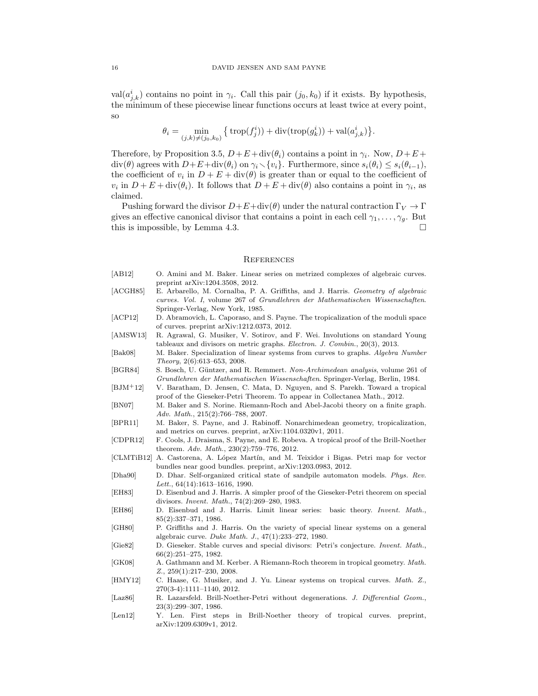val $(a_{j,k}^i)$  contains no point in  $\gamma_i$ . Call this pair  $(j_0, k_0)$  if it exists. By hypothesis, the minimum of these piecewise linear functions occurs at least twice at every point, so

$$
\theta_i = \min_{(j,k)\neq(j_0,k_0)} \left\{ \text{trop}(f_j^i) \right) + \text{div}(\text{trop}(g_k^i)) + \text{val}(a_{j,k}^i) \right\}.
$$

Therefore, by Proposition 3.5,  $D + E + \text{div}(\theta_i)$  contains a point in  $\gamma_i$ . Now,  $D + E +$  $\text{div}(\theta)$  agrees with  $D+E+\text{div}(\theta_i)$  on  $\gamma_i\setminus{\{v_i\}}$ . Furthermore, since  $s_i(\theta_i)\leq s_i(\theta_{i-1}),$ the coefficient of  $v_i$  in  $D + E + \text{div}(\theta)$  is greater than or equal to the coefficient of  $v_i$  in  $D + E + \text{div}(\theta_i)$ . It follows that  $D + E + \text{div}(\theta)$  also contains a point in  $\gamma_i$ , as claimed.

Pushing forward the divisor  $D+E+\text{div}(\theta)$  under the natural contraction  $\Gamma_V \to \Gamma$ gives an effective canonical divisor that contains a point in each cell  $\gamma_1, \ldots, \gamma_q$ . But this is impossible, by Lemma 4.3.

#### **REFERENCES**

- [AB12] O. Amini and M. Baker. Linear series on metrized complexes of algebraic curves. preprint arXiv:1204.3508, 2012.
- [ACGH85] E. Arbarello, M. Cornalba, P. A. Griffiths, and J. Harris. Geometry of algebraic curves. Vol. I, volume 267 of Grundlehren der Mathematischen Wissenschaften. Springer-Verlag, New York, 1985.
- [ACP12] D. Abramovich, L. Caporaso, and S. Payne. The tropicalization of the moduli space of curves. preprint arXiv:1212.0373, 2012.
- [AMSW13] R. Agrawal, G. Musiker, V. Sotirov, and F. Wei. Involutions on standard Young tableaux and divisors on metric graphs. Electron. J. Combin., 20(3), 2013.
- [Bak08] M. Baker. Specialization of linear systems from curves to graphs. Algebra Number Theory, 2(6):613–653, 2008.
- [BGR84] S. Bosch, U. Güntzer, and R. Remmert. Non-Archimedean analysis, volume 261 of Grundlehren der Mathematischen Wissenschaften. Springer-Verlag, Berlin, 1984.
- [BJM+12] V. Baratham, D. Jensen, C. Mata, D. Nguyen, and S. Parekh. Toward a tropical proof of the Gieseker-Petri Theorem. To appear in Collectanea Math., 2012.
- [BN07] M. Baker and S. Norine. Riemann-Roch and Abel-Jacobi theory on a finite graph. Adv. Math., 215(2):766–788, 2007.
- [BPR11] M. Baker, S. Payne, and J. Rabinoff. Nonarchimedean geometry, tropicalization, and metrics on curves. preprint, arXiv:1104.0320v1, 2011.
- [CDPR12] F. Cools, J. Draisma, S. Payne, and E. Robeva. A tropical proof of the Brill-Noether theorem. Adv. Math., 230(2):759–776, 2012.
- [CLMTiB12] A. Castorena, A. López Martín, and M. Teixidor i Bigas. Petri map for vector bundles near good bundles. preprint, arXiv:1203.0983, 2012.
- [Dha90] D. Dhar. Self-organized critical state of sandpile automaton models. Phys. Rev. Lett., 64(14):1613–1616, 1990.
- [EH83] D. Eisenbud and J. Harris. A simpler proof of the Gieseker-Petri theorem on special divisors. Invent. Math., 74(2):269–280, 1983.
- [EH86] D. Eisenbud and J. Harris. Limit linear series: basic theory. Invent. Math., 85(2):337–371, 1986.
- [GH80] P. Griffiths and J. Harris. On the variety of special linear systems on a general algebraic curve. Duke Math. J., 47(1):233–272, 1980.
- [Gie82] D. Gieseker. Stable curves and special divisors: Petri's conjecture. Invent. Math., 66(2):251–275, 1982.
- [GK08] A. Gathmann and M. Kerber. A Riemann-Roch theorem in tropical geometry. Math. Z., 259(1):217–230, 2008.
- [HMY12] C. Haase, G. Musiker, and J. Yu. Linear systems on tropical curves. Math. Z., 270(3-4):1111–1140, 2012.
- [Laz86] R. Lazarsfeld. Brill-Noether-Petri without degenerations. J. Differential Geom., 23(3):299–307, 1986.
- [Len12] Y. Len. First steps in Brill-Noether theory of tropical curves. preprint, arXiv:1209.6309v1, 2012.